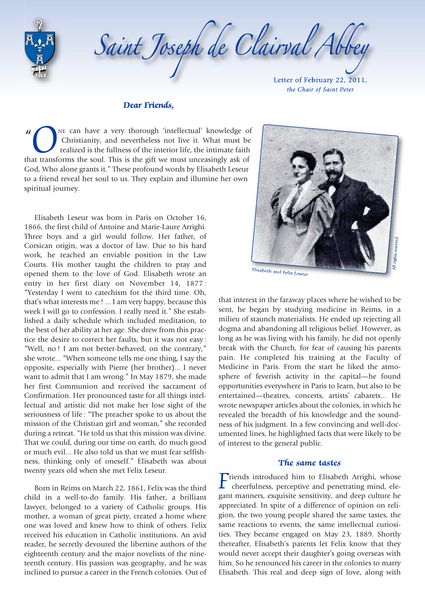

Letter of February 22, 2011, Saint Joseph de Clairval Abbey

*the Chair of Saint Peter* 

#### *Dear Friends,*

" *O*NE can have a very thorough 'intellectual' knowledge of Christianity, and nevertheless not live it. What must be realized is the fullness of the interior life, the intimate faith that transforms the soul. This is the Christianity, and nevertheless not live it. What must be realized is the fullness of the interior life, the intimate faith God, Who alone grants it." These profound words by Elisabeth Leseur to a friend reveal her soul to us. They explain and illumine her own spiritual journey.

Elisabeth Leseur was born in Paris on October 16, 1866, the first child of Antoine and Marie-Laure Arrighi. Three boys and a girl would follow. Her father, of Corsican origin, was a doctor of law. Due to his hard work, he reached an enviable position in the Law Courts. His mother taught the children to pray and opened them to the love of God. Elisabeth wrote an entry in her first diary on November 14, 1877 : "Yesterday I went to catechism for the third time. Oh, that's what interests me ! ... I am very happy, because this week I will go to confession. I really need it." She established a daily schedule which included meditation, to the best of her ability at her age. She drew from this practice the desire to correct her faults, but it was not easy : "Well, no ! I am not better-behaved, on the contrary," she wrote... "When someone tells me one thing, I say the opposite, especially with Pierre (her brother)... I never want to admit that I am wrong." In May 1879, she made her first Communion and received the sacrament of Confirmation. Her pronounced taste for all things intellectual and artistic did not make her lose sight of the seriousness of life : "The preacher spoke to us about the mission of the Christian girl and woman," she recorded during a retreat. "He told us that this mission was divine. That we could, during our time on earth, do much good or much evil... He also told us that we must fear selfishness, thinking only of oneself." Elisabeth was about twenty years old when she met Felix Leseur.

Born in Reims on March 22, 1861, Felix was the third child in a well-to-do family. His father, a brilliant lawyer, belonged to a variety of Catholic groups. His mother, a woman of great piety, created a home where one was loved and knew how to think of others. Felix received his education in Catholic institutions. An avid reader, he secretly devoured the libertine authors of the eighteenth century and the major novelists of the nineteenth century. His passion was geography, and he was inclined to pursue a career in the French colonies. Out of



that interest in the faraway places where he wished to be sent, he began by studying medicine in Reims, in a milieu of staunch materialists. He ended up rejecting all dogma and abandoning all religious belief. However, as long as he was living with his family, he did not openly break with the Church, for fear of causing his parents pain. He completed his training at the Faculty of Medicine in Paris. From the start he liked the atmosphere of feverish activity in the capital—he found opportunities everywhere in Paris to learn, but also to be entertained—theatres, concerts, artists' cabarets... He wrote newspaper articles about the colonies, in which he revealed the breadth of his knowledge and the soundness of his judgment. In a few convincing and well-documented lines, he highlighted facts that were likely to be of interest to the general public.

#### *The same tastes*

*Fiends* introduced him to Elisabeth Arrighi, whose cheerfulness, perceptive and penetrating mind, elegant manners, exquisite sensitivity, and deep culture he appreciated. In spite of a difference of opinion on religion, the two young people shared the same tastes, the same reactions to events, the same intellectual curiosities. They became engaged on May 23, 1889. Shortly thereafter, Elisabeth's parents let Felix know that they would never accept their daughter's going overseas with him. So he renounced his career in the colonies to marry Elisabeth. This real and deep sign of love, along with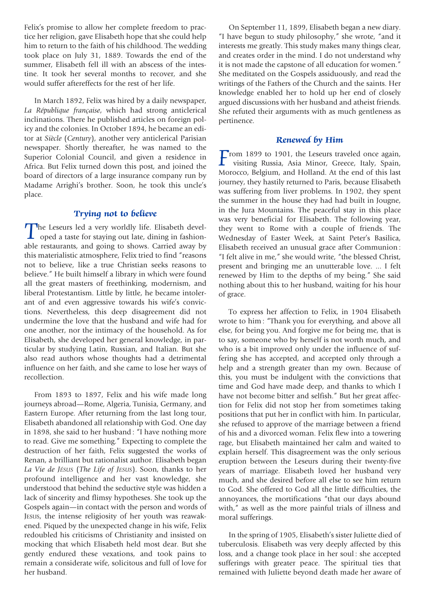Felix's promise to allow her complete freedom to practice her religion, gave Elisabeth hope that she could help him to return to the faith of his childhood. The wedding took place on July 31, 1889. Towards the end of the summer, Elisabeth fell ill with an abscess of the intestine. It took her several months to recover, and she would suffer aftereffects for the rest of her life.

In March 1892, Felix was hired by a daily newspaper, *La République française*, which had strong anticlerical inclinations. There he published articles on foreign policy and the colonies. In October 1894, he became an editor at *Siècle* (*Century*), another very anticlerical Parisian newspaper. Shortly thereafter, he was named to the Superior Colonial Council, and given a residence in Africa. But Felix turned down this post, and joined the board of directors of a large insurance company run by Madame Arrighi's brother. Soon, he took this uncle's place.

## *Trying not to believe*

The Leseurs led a very worldly life. Elisabeth developed a taste for staying out late, dining in fashion-<br>able restaurants, and going to shows. Carried away by able restaurants, and going to shows. Carried away by this materialistic atmosphere, Felix tried to find "reasons not to believe, like a true Christian seeks reasons to believe." He built himself a library in which were found all the great masters of freethinking, modernism, and liberal Protestantism. Little by little, he became intolerant of and even aggressive towards his wife's convictions. Nevertheless, this deep disagreement did not undermine the love that the husband and wife had for one another, nor the intimacy of the household. As for Elisabeth, she developed her general knowledge, in particular by studying Latin, Russian, and Italian. But she also read authors whose thoughts had a detrimental influence on her faith, and she came to lose her ways of recollection.

From 1893 to 1897, Felix and his wife made long journeys abroad—Rome, Algeria, Tunisia, Germany, and Eastern Europe. After returning from the last long tour, Elisabeth abandoned all relationship with God. One day in 1898, she said to her husband : "I have nothing more to read. Give me something." Expecting to complete the destruction of her faith, Felix suggested the works of Renan, a brilliant but rationalist author. Elisabeth began *La Vie de JÉSUS* (*The Life of JESUS*). Soon, thanks to her profound intelligence and her vast knowledge, she understood that behind the seductive style was hidden a lack of sincerity and flimsy hypotheses. She took up the Gospels again—in contact with the person and words of JESUS, the intense religiosity of her youth was reawakened. Piqued by the unexpected change in his wife, Felix redoubled his criticisms of Christianity and insisted on mocking that which Elisabeth held most dear. But she gently endured these vexations, and took pains to remain a considerate wife, solicitous and full of love for her husband.

On September 11, 1899, Elisabeth began a new diary. "I have begun to study philosophy," she wrote, "and it interests me greatly. This study makes many things clear, and creates order in the mind. I do not understand why it is not made the capstone of all education for women." She meditated on the Gospels assiduously, and read the writings of the Fathers of the Church and the saints. Her knowledge enabled her to hold up her end of closely argued discussions with her husband and atheist friends. She refuted their arguments with as much gentleness as pertinence.

## *Renewed by Him*

**F**rom 1899 to 1901, the Leseurs traveled once again,<br>visiting Russia, Asia Minor, Greece, Italy, Spain,<br>Morocco, Bolgium, and Holland, At the and of this last Morocco, Belgium, and Holland. At the end of this last journey, they hastily returned to Paris, because Elisabeth was suffering from liver problems. In 1902, they spent the summer in the house they had had built in Jougne, in the Jura Mountains. The peaceful stay in this place was very beneficial for Elisabeth. The following year, they went to Rome with a couple of friends. The Wednesday of Easter Week, at Saint Peter's Basilica, Elisabeth received an unusual grace after Communion : "I felt alive in me," she would write, "the blessed Christ, present and bringing me an unutterable love. ... I felt renewed by Him to the depths of my being." She said nothing about this to her husband, waiting for his hour of grace.

To express her affection to Felix, in 1904 Elisabeth wrote to him : "Thank you for everything, and above all else, for being you. And forgive me for being me, that is to say, someone who by herself is not worth much, and who is a bit improved only under the influence of suffering she has accepted, and accepted only through a help and a strength greater than my own. Because of this, you must be indulgent with the convictions that time and God have made deep, and thanks to which I have not become bitter and selfish." But her great affection for Felix did not stop her from sometimes taking positions that put her in conflict with him. In particular, she refused to approve of the marriage between a friend of his and a divorced woman. Felix flew into a towering rage, but Elisabeth maintained her calm and waited to explain herself. This disagreement was the only serious eruption between the Leseurs during their twenty-five years of marriage. Elisabeth loved her husband very much, and she desired before all else to see him return to God. She offered to God all the little difficulties, the annoyances, the mortifications "that our days abound with," as well as the more painful trials of illness and moral sufferings.

In the spring of 1905, Elisabeth's sister Juliette died of tuberculosis. Elisabeth was very deeply affected by this loss, and a change took place in her soul : she accepted sufferings with greater peace. The spiritual ties that remained with Juliette beyond death made her aware of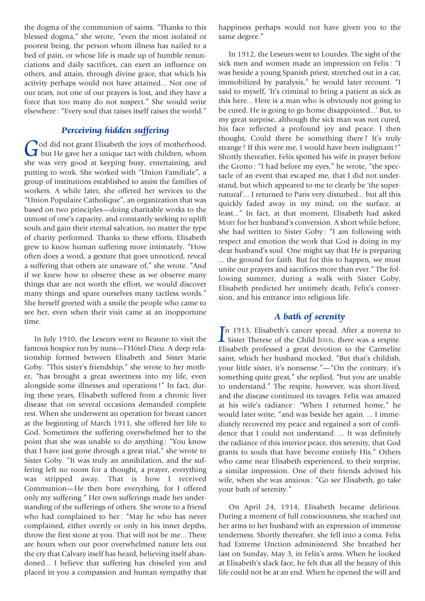the dogma of the communion of saints. "Thanks to this blessed dogma," she wrote, "even the most isolated or poorest being, the person whom illness has nailed to a bed of pain, or whose life is made up of humble renunciations and daily sacrifices, can exert an influence on others, and attain, through divine grace, that which his activity perhaps would not have attained... Not one of our tears, not one of our prayers is lost, and they have a force that too many do not suspect." She would write elsewhere : "Every soul that raises itself raises the world."

## *Perceiving hidden suffering*

God did not grant Elisabeth the joys of motherhood,<br>but He gave her a unique tact with children, whom she was very good at keeping busy, entertaining, and putting to work. She worked with "Union Familiale", a group of institutions established to assist the families of workers. A while later, she offered her services to the "Union Populaire Catholique", an organization that was based on two principles—doing charitable works to the utmost of one's capacity, and constantly seeking to uplift souls and gain their eternal salvation, no matter the type of charity performed. Thanks to these efforts, Elisabeth grew to know human suffering more intimately. "How often does a word, a gesture that goes unnoticed, reveal a suffering that others are unaware of," she wrote. "And if we knew how to observe these as we observe many things that are not worth the effort, we would discover many things and spare ourselves many tactless words." She herself greeted with a smile the people who came to see her, even when their visit came at an inopportune time.

In July 1910, the Leseurs went to Beaune to visit the famous hospice run by nuns—l'Hôtel-Dieu. A deep relationship formed between Elisabeth and Sister Marie Goby. "This sister's friendship," she wrote to her mother, "has brought a great sweetness into my life, even alongside some illnesses and operations !" In fact, during these years, Elisabeth suffered from a chronic liver disease that on several occasions demanded complete rest. When she underwent an operation for breast cancer at the beginning of March 1911, she offered her life to God. Sometimes the suffering overwhelmed her to the point that she was unable to do anything: "You know that I have just gone through a great trial," she wrote to Sister Goby. "It was truly an annihilation, and the suffering left no room for a thought, a prayer, everything was stripped away. That is how I received Communion—He then bore everything, for I offered only my suffering." Her own sufferings made her understanding of the sufferings of others. She wrote to a friend who had complained to her: "May he who has never complained, either overtly or only in his inner depths, throw the first stone at you. That will not be me... There are hours when our poor overwhelmed nature lets out the cry that Calvary itself has heard, believing itself abandoned... I believe that suffering has chiseled you and placed in you a compassion and human sympathy that

happiness perhaps would not have given you to the same degree."

In 1912, the Leseurs went to Lourdes. The sight of the sick men and women made an impression on Felix : "I was beside a young Spanish priest, stretched out in a car, immobilized by paralysis," he would later recount. "I said to myself, 'It's criminal to bring a patient as sick as this here... Here is a man who is obviously not going to be cured. He is going to go home disappointed...' But, to my great surprise, although the sick man was not cured, his face reflected a profound joy and peace. I then thought, Could there be something there ? It's truly strange ! If this were me, I would have been indignant !" Shortly thereafter, Felix spotted his wife in prayer before the Grotto : "I had before my eyes," he wrote, "the spectacle of an event that escaped me, that I did not understand, but which appeared to me to clearly be 'the supernatural'... I returned to Paris very disturbed... but all this quickly faded away in my mind, on the surface, at least..." In fact, at that moment, Elisabeth had asked MARY for her husband's conversion. A short while before, she had written to Sister Goby : "I am following with respect and emotion the work that God is doing in my dear husband's soul. One might say that He is preparing ... the ground for faith. But for this to happen, we must unite our prayers and sacrifices more than ever." The following summer, during a walk with Sister Goby, Elisabeth predicted her untimely death, Felix's conversion, and his entrance into religious life.

# *A bath of serenity*

In 1913, Elisabeth's cancer spread. After a novena to<br>
Sister Therese of the Child JESUS, there was a respite. n 1913, Elisabeth's cancer spread. After a novena to Elisabeth professed a great devotion to the Carmelite saint, which her husband mocked. "But that's childish, your little sister, it's nonsense."—"On the contrary, it's something quite great," she replied, "but you are unable to understand." The respite, however, was short-lived, and the disease continued its ravages. Felix was amazed at his wife's radiance : "When I returned home," he would later write, "and was beside her again. ... I immediately recovered my peace and regained a sort of confidence that I could not understand. ... It was definitely the radiance of this interior peace, this serenity, that God grants to souls that have become entirely His." Others who came near Elisabeth experienced, to their surprise, a similar impression. One of their friends advised his wife, when she was anxious : "Go see Elisabeth, go take your bath of serenity."

On April 24, 1914, Elisabeth became delirious. During a moment of full consciousness, she reached out her arms to her husband with an expression of immense tenderness. Shortly thereafter, she fell into a coma. Felix had Extreme Unction administered. She breathed her last on Sunday, May 3, in Felix's arms. When he looked at Elisabeth's slack face, he felt that all the beauty of this life could not be at an end. When he opened the will and